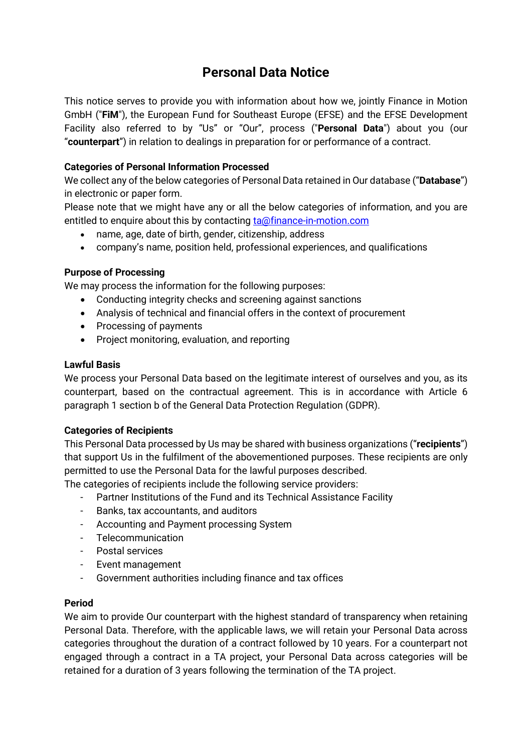# **Personal Data Notice**

This notice serves to provide you with information about how we, jointly Finance in Motion GmbH ("**FiM**"), the European Fund for Southeast Europe (EFSE) and the EFSE Development Facility also referred to by "Us" or "Our", process ("**Personal Data**") about you (our "**counterpart**") in relation to dealings in preparation for or performance of a contract.

# **Categories of Personal Information Processed**

We collect any of the below categories of Personal Data retained in Our database ("**Database**") in electronic or paper form.

Please note that we might have any or all the below categories of information, and you are entitled to enquire about this by contacting [ta@finance-in-motion.com](mailto:ta@finance-in-motion.com)

- name, age, date of birth, gender, citizenship, address
- company's name, position held, professional experiences, and qualifications

# **Purpose of Processing**

We may process the information for the following purposes:

- Conducting integrity checks and screening against sanctions
- Analysis of technical and financial offers in the context of procurement
- Processing of payments
- Project monitoring, evaluation, and reporting

#### **Lawful Basis**

We process your Personal Data based on the legitimate interest of ourselves and you, as its counterpart, based on the contractual agreement. This is in accordance with Article 6 paragraph 1 section b of the General Data Protection Regulation (GDPR).

# **Categories of Recipients**

This Personal Data processed by Us may be shared with business organizations ("**recipients**") that support Us in the fulfilment of the abovementioned purposes. These recipients are only permitted to use the Personal Data for the lawful purposes described.

The categories of recipients include the following service providers:

- Partner Institutions of the Fund and its Technical Assistance Facility
- Banks, tax accountants, and auditors
- Accounting and Payment processing System
- Telecommunication
- Postal services
- Event management
- Government authorities including finance and tax offices

# **Period**

We aim to provide Our counterpart with the highest standard of transparency when retaining Personal Data. Therefore, with the applicable laws, we will retain your Personal Data across categories throughout the duration of a contract followed by 10 years. For a counterpart not engaged through a contract in a TA project, your Personal Data across categories will be retained for a duration of 3 years following the termination of the TA project.